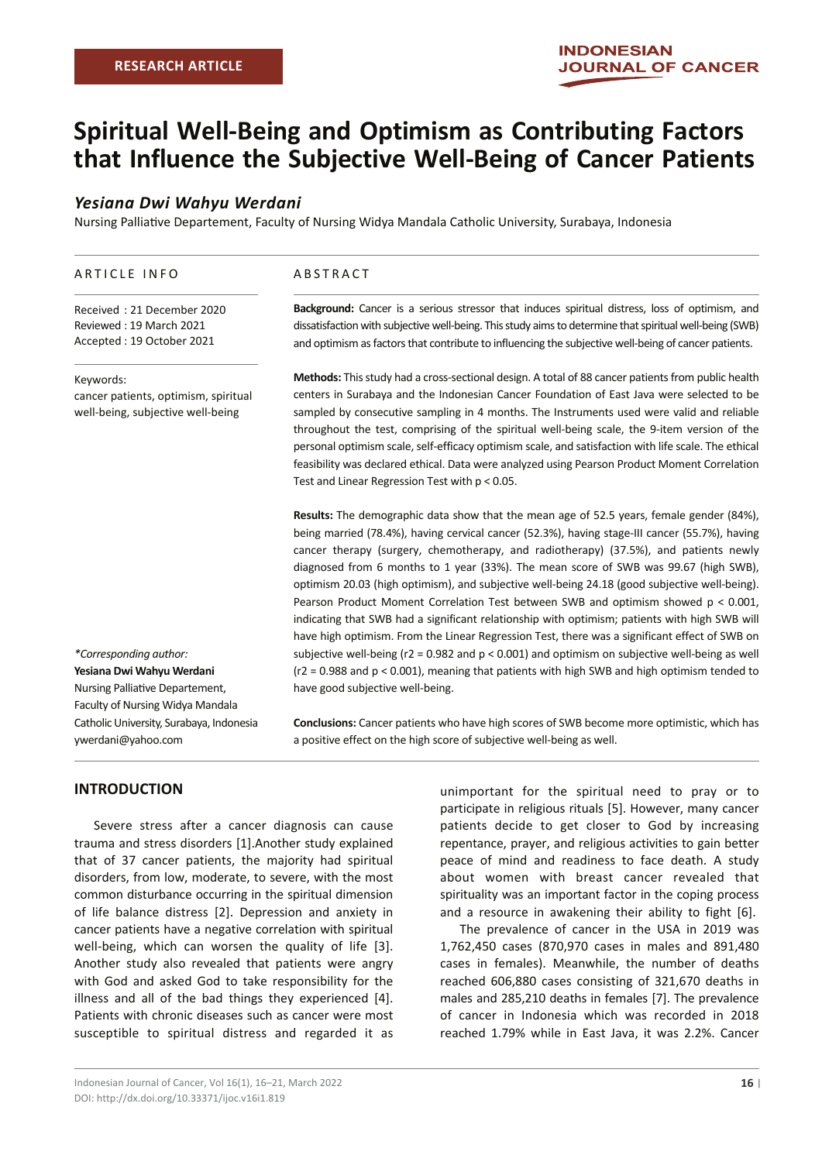# **Spiritual Well-Being and Optimism as Contributing Factors that Influence the Subjective Well-Being of Cancer Patients**

## *Yesiana Dwi Wahyu Werdani*

Nursing Palliative Departement, Faculty of Nursing Widya Mandala Catholic University, Surabaya, Indonesia

#### ARTICLE INFO

Received : 21 December 2020 Reviewed : 19 March 2021 Accepted : 19 October 2021

#### Keywords:

cancer patients, optimism, spiritual well-being, subjective well-being

# *\*Corresponding author:* **Yesiana Dwi Wahyu Werdani**  Nursing Palliative Departement, Faculty of Nursing Widya Mandala Catholic University, Surabaya, Indonesia ywerdani@yahoo.com

#### ABSTRACT

**Background:** Cancer is a serious stressor that induces spiritual distress, loss of optimism, and dissatisfaction with subjective well-being. This study aims to determine that spiritual well-being (SWB) and optimism as factors that contribute to influencing the subjective well-being of cancer patients.

**Methods:** This study had a cross-sectional design. A total of 88 cancer patients from public health centers in Surabaya and the Indonesian Cancer Foundation of East Java were selected to be sampled by consecutive sampling in 4 months. The Instruments used were valid and reliable throughout the test, comprising of the spiritual well-being scale, the 9-item version of the personal optimism scale, self-efficacy optimism scale, and satisfaction with life scale. The ethical feasibility was declared ethical. Data were analyzed using Pearson Product Moment Correlation Test and Linear Regression Test with p < 0.05.

**Results:** The demographic data show that the mean age of 52.5 years, female gender (84%), being married (78.4%), having cervical cancer (52.3%), having stage-III cancer (55.7%), having cancer therapy (surgery, chemotherapy, and radiotherapy) (37.5%), and patients newly diagnosed from 6 months to 1 year (33%). The mean score of SWB was 99.67 (high SWB), optimism 20.03 (high optimism), and subjective well-being 24.18 (good subjective well-being). Pearson Product Moment Correlation Test between SWB and optimism showed p < 0.001, indicating that SWB had a significant relationship with optimism; patients with high SWB will have high optimism. From the Linear Regression Test, there was a significant effect of SWB on subjective well-being (r2 = 0.982 and p < 0.001) and optimism on subjective well-being as well (r2 = 0.988 and p < 0.001), meaning that patients with high SWB and high optimism tended to have good subjective well-being.

**Conclusions:** Cancer patients who have high scores of SWB become more optimistic, which has a positive effect on the high score of subjective well-being as well.

# **INTRODUCTION**

Severe stress after a cancer diagnosis can cause trauma and stress disorders [1].Another study explained that of 37 cancer patients, the majority had spiritual disorders, from low, moderate, to severe, with the most common disturbance occurring in the spiritual dimension of life balance distress [2]. Depression and anxiety in cancer patients have a negative correlation with spiritual well-being, which can worsen the quality of life [3]. Another study also revealed that patients were angry with God and asked God to take responsibility for the illness and all of the bad things they experienced [4]. Patients with chronic diseases such as cancer were most susceptible to spiritual distress and regarded it as

unimportant for the spiritual need to pray or to participate in religious rituals [5]. However, many cancer patients decide to get closer to God by increasing repentance, prayer, and religious activities to gain better peace of mind and readiness to face death. A study about women with breast cancer revealed that spirituality was an important factor in the coping process and a resource in awakening their ability to fight [6].

The prevalence of cancer in the USA in 2019 was 1,762,450 cases (870,970 cases in males and 891,480 cases in females). Meanwhile, the number of deaths reached 606,880 cases consisting of 321,670 deaths in males and 285,210 deaths in females [7]. The prevalence of cancer in Indonesia which was recorded in 2018 reached 1.79% while in East Java, it was 2.2%. Cancer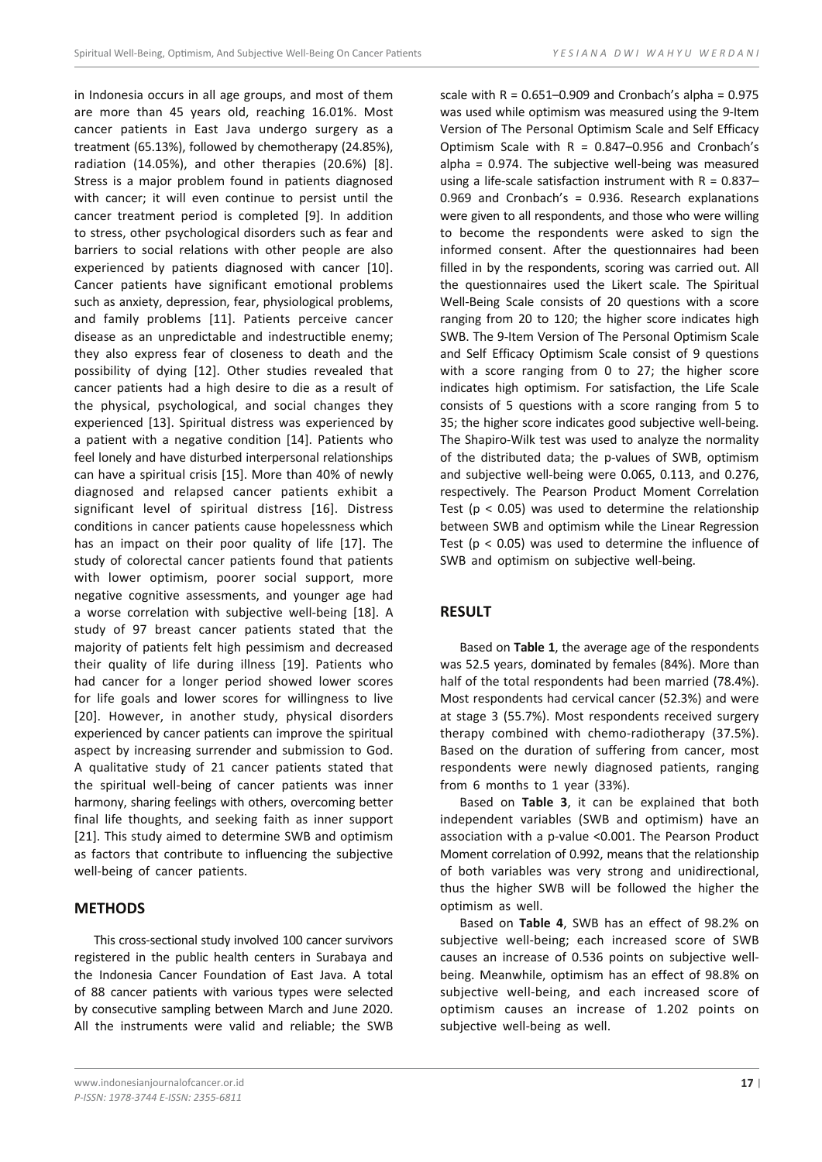in Indonesia occurs in all age groups, and most of them are more than 45 years old, reaching 16.01%. Most cancer patients in East Java undergo surgery as a treatment (65.13%), followed by chemotherapy (24.85%), radiation (14.05%), and other therapies (20.6%) [8]. Stress is a major problem found in patients diagnosed with cancer; it will even continue to persist until the cancer treatment period is completed [9]. In addition to stress, other psychological disorders such as fear and barriers to social relations with other people are also experienced by patients diagnosed with cancer [10]. Cancer patients have significant emotional problems such as anxiety, depression, fear, physiological problems, and family problems [11]. Patients perceive cancer disease as an unpredictable and indestructible enemy; they also express fear of closeness to death and the possibility of dying [12]. Other studies revealed that cancer patients had a high desire to die as a result of the physical, psychological, and social changes they experienced [13]. Spiritual distress was experienced by a patient with a negative condition [14]. Patients who feel lonely and have disturbed interpersonal relationships can have a spiritual crisis [15]. More than 40% of newly diagnosed and relapsed cancer patients exhibit a significant level of spiritual distress [16]. Distress conditions in cancer patients cause hopelessness which has an impact on their poor quality of life [17]. The study of colorectal cancer patients found that patients with lower optimism, poorer social support, more negative cognitive assessments, and younger age had a worse correlation with subjective well-being [18]. A study of 97 breast cancer patients stated that the majority of patients felt high pessimism and decreased their quality of life during illness [19]. Patients who had cancer for a longer period showed lower scores for life goals and lower scores for willingness to live [20]. However, in another study, physical disorders experienced by cancer patients can improve the spiritual aspect by increasing surrender and submission to God. A qualitative study of 21 cancer patients stated that the spiritual well-being of cancer patients was inner harmony, sharing feelings with others, overcoming better final life thoughts, and seeking faith as inner support [21]. This study aimed to determine SWB and optimism as factors that contribute to influencing the subjective well-being of cancer patients.

## **METHODS**

This cross-sectional study involved 100 cancer survivors registered in the public health centers in Surabaya and the Indonesia Cancer Foundation of East Java. A total of 88 cancer patients with various types were selected by consecutive sampling between March and June 2020. All the instruments were valid and reliable; the SWB

scale with  $R = 0.651-0.909$  and Cronbach's alpha = 0.975 was used while optimism was measured using the 9-Item Version of The Personal Optimism Scale and Self Efficacy Optimism Scale with  $R = 0.847 - 0.956$  and Cronbach's alpha = 0.974. The subjective well-being was measured using a life-scale satisfaction instrument with  $R = 0.837 -$ 0.969 and Cronbach's = 0.936. Research explanations were given to all respondents, and those who were willing to become the respondents were asked to sign the informed consent. After the questionnaires had been filled in by the respondents, scoring was carried out. All the questionnaires used the Likert scale. The Spiritual Well-Being Scale consists of 20 questions with a score ranging from 20 to 120; the higher score indicates high SWB. The 9-Item Version of The Personal Optimism Scale and Self Efficacy Optimism Scale consist of 9 questions with a score ranging from 0 to 27; the higher score indicates high optimism. For satisfaction, the Life Scale consists of 5 questions with a score ranging from 5 to 35; the higher score indicates good subjective well-being. The Shapiro-Wilk test was used to analyze the normality of the distributed data; the p-values of SWB, optimism and subjective well-being were 0.065, 0.113, and 0.276, respectively. The Pearson Product Moment Correlation Test ( $p < 0.05$ ) was used to determine the relationship between SWB and optimism while the Linear Regression Test ( $p < 0.05$ ) was used to determine the influence of SWB and optimism on subjective well-being.

## **RESULT**

Based on **Table 1**, the average age of the respondents was 52.5 years, dominated by females (84%). More than half of the total respondents had been married (78.4%). Most respondents had cervical cancer (52.3%) and were at stage 3 (55.7%). Most respondents received surgery therapy combined with chemo-radiotherapy (37.5%). Based on the duration of suffering from cancer, most respondents were newly diagnosed patients, ranging from 6 months to 1 year (33%).

Based on **Table 3**, it can be explained that both independent variables (SWB and optimism) have an association with a p-value <0.001. The Pearson Product Moment correlation of 0.992, means that the relationship of both variables was very strong and unidirectional, thus the higher SWB will be followed the higher the optimism as well.

Based on **Table 4**, SWB has an effect of 98.2% on subjective well-being; each increased score of SWB causes an increase of 0.536 points on subjective wellbeing. Meanwhile, optimism has an effect of 98.8% on subjective well-being, and each increased score of optimism causes an increase of 1.202 points on subjective well-being as well.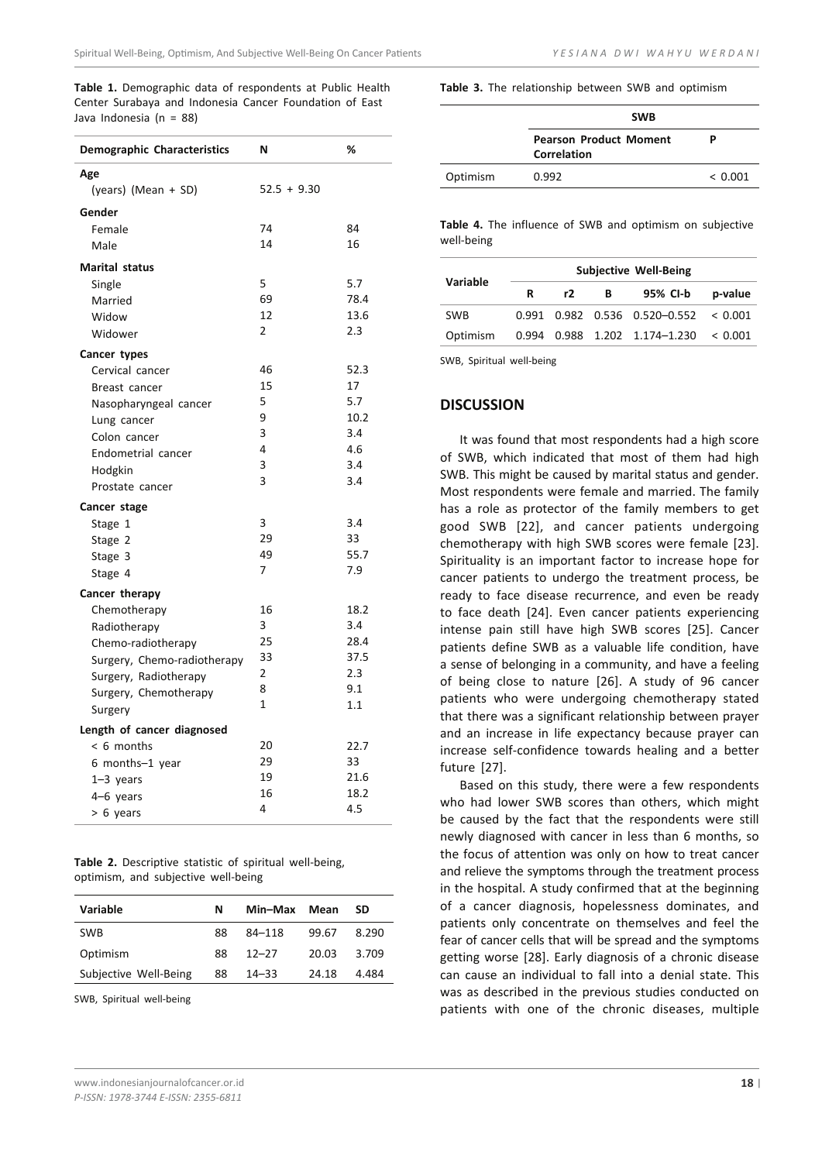**Table 1.** Demographic data of respondents at Public Health Center Surabaya and Indonesia Cancer Foundation of East Java Indonesia (n = 88)

| Age<br>$52.5 + 9.30$<br>(years) (Mean + SD)<br>Gender<br>74<br>84<br>Female<br>14<br>16<br>Male<br><b>Marital status</b><br>5<br>5.7<br>Single<br>69<br>78.4<br>Married<br>12<br>13.6<br>Widow<br>2.3<br>$\overline{2}$<br>Widower<br>Cancer types<br>46<br>52.3<br>Cervical cancer<br>17<br>15<br>Breast cancer<br>5.7<br>5<br>Nasopharyngeal cancer<br>9<br>10.2<br>Lung cancer<br>3<br>3.4<br>Colon cancer<br>4<br>4.6<br>Endometrial cancer<br>3<br>3.4<br>Hodgkin<br>3<br>3.4<br>Prostate cancer<br>Cancer stage<br>3<br>3.4<br>Stage 1<br>29<br>33<br>Stage 2<br>49<br>55.7<br>Stage 3<br>7.9<br>7<br>Stage 4<br>Cancer therapy<br>16<br>18.2<br>Chemotherapy<br>3<br>3.4<br>Radiotherapy<br>25<br>28.4<br>Chemo-radiotherapy<br>37.5<br>33<br>Surgery, Chemo-radiotherapy<br>$\overline{2}$<br>2.3<br>Surgery, Radiotherapy<br>8<br>9.1<br>Surgery, Chemotherapy<br>$\mathbf{1}$<br>1.1<br>Surgery<br>Length of cancer diagnosed<br>20<br>22.7<br>$< 6$ months<br>29<br>33<br>6 months-1 year<br>19<br>21.6<br>1-3 years<br>16<br>18.2<br>4-6 years<br>4<br>4.5<br>> 6 years | <b>Demographic Characteristics</b> | N | ℅ |
|-------------------------------------------------------------------------------------------------------------------------------------------------------------------------------------------------------------------------------------------------------------------------------------------------------------------------------------------------------------------------------------------------------------------------------------------------------------------------------------------------------------------------------------------------------------------------------------------------------------------------------------------------------------------------------------------------------------------------------------------------------------------------------------------------------------------------------------------------------------------------------------------------------------------------------------------------------------------------------------------------------------------------------------------------------------------------------------|------------------------------------|---|---|
|                                                                                                                                                                                                                                                                                                                                                                                                                                                                                                                                                                                                                                                                                                                                                                                                                                                                                                                                                                                                                                                                                     |                                    |   |   |
|                                                                                                                                                                                                                                                                                                                                                                                                                                                                                                                                                                                                                                                                                                                                                                                                                                                                                                                                                                                                                                                                                     |                                    |   |   |
|                                                                                                                                                                                                                                                                                                                                                                                                                                                                                                                                                                                                                                                                                                                                                                                                                                                                                                                                                                                                                                                                                     |                                    |   |   |
|                                                                                                                                                                                                                                                                                                                                                                                                                                                                                                                                                                                                                                                                                                                                                                                                                                                                                                                                                                                                                                                                                     |                                    |   |   |
|                                                                                                                                                                                                                                                                                                                                                                                                                                                                                                                                                                                                                                                                                                                                                                                                                                                                                                                                                                                                                                                                                     |                                    |   |   |
|                                                                                                                                                                                                                                                                                                                                                                                                                                                                                                                                                                                                                                                                                                                                                                                                                                                                                                                                                                                                                                                                                     |                                    |   |   |
|                                                                                                                                                                                                                                                                                                                                                                                                                                                                                                                                                                                                                                                                                                                                                                                                                                                                                                                                                                                                                                                                                     |                                    |   |   |
|                                                                                                                                                                                                                                                                                                                                                                                                                                                                                                                                                                                                                                                                                                                                                                                                                                                                                                                                                                                                                                                                                     |                                    |   |   |
|                                                                                                                                                                                                                                                                                                                                                                                                                                                                                                                                                                                                                                                                                                                                                                                                                                                                                                                                                                                                                                                                                     |                                    |   |   |
|                                                                                                                                                                                                                                                                                                                                                                                                                                                                                                                                                                                                                                                                                                                                                                                                                                                                                                                                                                                                                                                                                     |                                    |   |   |
|                                                                                                                                                                                                                                                                                                                                                                                                                                                                                                                                                                                                                                                                                                                                                                                                                                                                                                                                                                                                                                                                                     |                                    |   |   |
|                                                                                                                                                                                                                                                                                                                                                                                                                                                                                                                                                                                                                                                                                                                                                                                                                                                                                                                                                                                                                                                                                     |                                    |   |   |
|                                                                                                                                                                                                                                                                                                                                                                                                                                                                                                                                                                                                                                                                                                                                                                                                                                                                                                                                                                                                                                                                                     |                                    |   |   |
|                                                                                                                                                                                                                                                                                                                                                                                                                                                                                                                                                                                                                                                                                                                                                                                                                                                                                                                                                                                                                                                                                     |                                    |   |   |
|                                                                                                                                                                                                                                                                                                                                                                                                                                                                                                                                                                                                                                                                                                                                                                                                                                                                                                                                                                                                                                                                                     |                                    |   |   |
|                                                                                                                                                                                                                                                                                                                                                                                                                                                                                                                                                                                                                                                                                                                                                                                                                                                                                                                                                                                                                                                                                     |                                    |   |   |
|                                                                                                                                                                                                                                                                                                                                                                                                                                                                                                                                                                                                                                                                                                                                                                                                                                                                                                                                                                                                                                                                                     |                                    |   |   |
|                                                                                                                                                                                                                                                                                                                                                                                                                                                                                                                                                                                                                                                                                                                                                                                                                                                                                                                                                                                                                                                                                     |                                    |   |   |
|                                                                                                                                                                                                                                                                                                                                                                                                                                                                                                                                                                                                                                                                                                                                                                                                                                                                                                                                                                                                                                                                                     |                                    |   |   |
|                                                                                                                                                                                                                                                                                                                                                                                                                                                                                                                                                                                                                                                                                                                                                                                                                                                                                                                                                                                                                                                                                     |                                    |   |   |
|                                                                                                                                                                                                                                                                                                                                                                                                                                                                                                                                                                                                                                                                                                                                                                                                                                                                                                                                                                                                                                                                                     |                                    |   |   |
|                                                                                                                                                                                                                                                                                                                                                                                                                                                                                                                                                                                                                                                                                                                                                                                                                                                                                                                                                                                                                                                                                     |                                    |   |   |
|                                                                                                                                                                                                                                                                                                                                                                                                                                                                                                                                                                                                                                                                                                                                                                                                                                                                                                                                                                                                                                                                                     |                                    |   |   |
|                                                                                                                                                                                                                                                                                                                                                                                                                                                                                                                                                                                                                                                                                                                                                                                                                                                                                                                                                                                                                                                                                     |                                    |   |   |
|                                                                                                                                                                                                                                                                                                                                                                                                                                                                                                                                                                                                                                                                                                                                                                                                                                                                                                                                                                                                                                                                                     |                                    |   |   |
|                                                                                                                                                                                                                                                                                                                                                                                                                                                                                                                                                                                                                                                                                                                                                                                                                                                                                                                                                                                                                                                                                     |                                    |   |   |
|                                                                                                                                                                                                                                                                                                                                                                                                                                                                                                                                                                                                                                                                                                                                                                                                                                                                                                                                                                                                                                                                                     |                                    |   |   |
|                                                                                                                                                                                                                                                                                                                                                                                                                                                                                                                                                                                                                                                                                                                                                                                                                                                                                                                                                                                                                                                                                     |                                    |   |   |
|                                                                                                                                                                                                                                                                                                                                                                                                                                                                                                                                                                                                                                                                                                                                                                                                                                                                                                                                                                                                                                                                                     |                                    |   |   |
|                                                                                                                                                                                                                                                                                                                                                                                                                                                                                                                                                                                                                                                                                                                                                                                                                                                                                                                                                                                                                                                                                     |                                    |   |   |
|                                                                                                                                                                                                                                                                                                                                                                                                                                                                                                                                                                                                                                                                                                                                                                                                                                                                                                                                                                                                                                                                                     |                                    |   |   |
|                                                                                                                                                                                                                                                                                                                                                                                                                                                                                                                                                                                                                                                                                                                                                                                                                                                                                                                                                                                                                                                                                     |                                    |   |   |
|                                                                                                                                                                                                                                                                                                                                                                                                                                                                                                                                                                                                                                                                                                                                                                                                                                                                                                                                                                                                                                                                                     |                                    |   |   |
|                                                                                                                                                                                                                                                                                                                                                                                                                                                                                                                                                                                                                                                                                                                                                                                                                                                                                                                                                                                                                                                                                     |                                    |   |   |
|                                                                                                                                                                                                                                                                                                                                                                                                                                                                                                                                                                                                                                                                                                                                                                                                                                                                                                                                                                                                                                                                                     |                                    |   |   |
|                                                                                                                                                                                                                                                                                                                                                                                                                                                                                                                                                                                                                                                                                                                                                                                                                                                                                                                                                                                                                                                                                     |                                    |   |   |
|                                                                                                                                                                                                                                                                                                                                                                                                                                                                                                                                                                                                                                                                                                                                                                                                                                                                                                                                                                                                                                                                                     |                                    |   |   |
|                                                                                                                                                                                                                                                                                                                                                                                                                                                                                                                                                                                                                                                                                                                                                                                                                                                                                                                                                                                                                                                                                     |                                    |   |   |

|                                     |  | <b>Table 2.</b> Descriptive statistic of spiritual well-being, |
|-------------------------------------|--|----------------------------------------------------------------|
| optimism, and subjective well-being |  |                                                                |

| Variable              | N  | Min-Max    | Mean  | SD    |
|-----------------------|----|------------|-------|-------|
| <b>SWB</b>            | 88 | $84 - 118$ | 99.67 | 8.290 |
| Optimism              | 88 | $12 - 27$  | 20.03 | 3.709 |
| Subjective Well-Being | 88 | $14 - 33$  | 24.18 | 4.484 |

SWB, Spiritual well-being

**Table 3.** The relationship between SWB and optimism

|          | <b>SWB</b>                                   |         |  |
|----------|----------------------------------------------|---------|--|
|          | <b>Pearson Product Moment</b><br>Correlation | Þ       |  |
| Optimism | 0.992                                        | < 0.001 |  |
|          |                                              |         |  |

**Table 4.** The influence of SWB and optimism on subjective well-being

| Variable   | <b>Subjective Well-Being</b> |    |   |                                                   |         |
|------------|------------------------------|----|---|---------------------------------------------------|---------|
|            | R                            | r2 | в | 95% CI-b                                          | p-value |
| <b>SWB</b> |                              |    |   | $0.991$ $0.982$ $0.536$ $0.520 - 0.552$ < 0.001   |         |
| Optimism   |                              |    |   | $0.994$ $0.988$ $1.202$ $1.174 - 1.230$ < $0.001$ |         |

SWB, Spiritual well-being

## **DISCUSSION**

It was found that most respondents had a high score of SWB, which indicated that most of them had high SWB. This might be caused by marital status and gender. Most respondents were female and married. The family has a role as protector of the family members to get good SWB [22], and cancer patients undergoing chemotherapy with high SWB scores were female [23]. Spirituality is an important factor to increase hope for cancer patients to undergo the treatment process, be ready to face disease recurrence, and even be ready to face death [24]. Even cancer patients experiencing intense pain still have high SWB scores [25]. Cancer patients define SWB as a valuable life condition, have a sense of belonging in a community, and have a feeling of being close to nature [26]. A study of 96 cancer patients who were undergoing chemotherapy stated that there was a significant relationship between prayer and an increase in life expectancy because prayer can increase self-confidence towards healing and a better future [27].

Based on this study, there were a few respondents who had lower SWB scores than others, which might be caused by the fact that the respondents were still newly diagnosed with cancer in less than 6 months, so the focus of attention was only on how to treat cancer and relieve the symptoms through the treatment process in the hospital. A study confirmed that at the beginning of a cancer diagnosis, hopelessness dominates, and patients only concentrate on themselves and feel the fear of cancer cells that will be spread and the symptoms getting worse [28]. Early diagnosis of a chronic disease can cause an individual to fall into a denial state. This was as described in the previous studies conducted on patients with one of the chronic diseases, multiple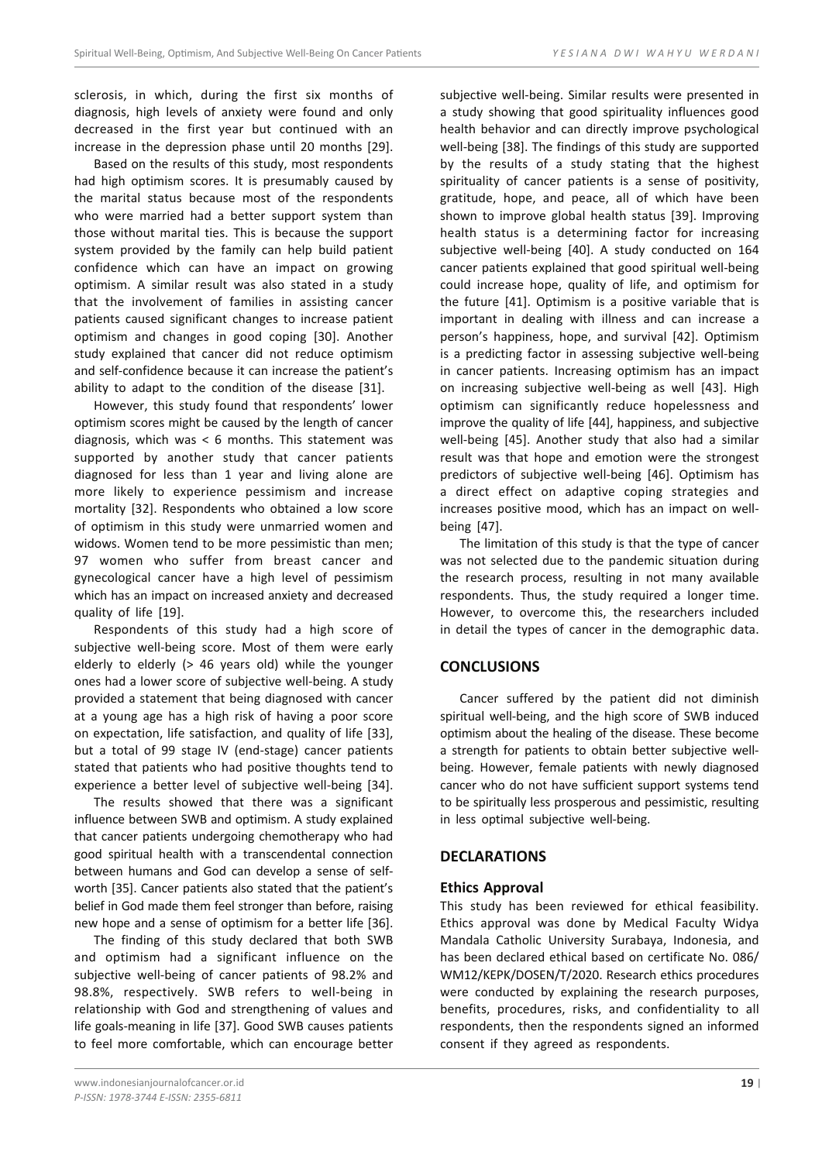sclerosis, in which, during the first six months of diagnosis, high levels of anxiety were found and only decreased in the first year but continued with an increase in the depression phase until 20 months [29].

Based on the results of this study, most respondents had high optimism scores. It is presumably caused by the marital status because most of the respondents who were married had a better support system than those without marital ties. This is because the support system provided by the family can help build patient confidence which can have an impact on growing optimism. A similar result was also stated in a study that the involvement of families in assisting cancer patients caused significant changes to increase patient optimism and changes in good coping [30]. Another study explained that cancer did not reduce optimism and self-confidence because it can increase the patient's ability to adapt to the condition of the disease [31].

However, this study found that respondents' lower optimism scores might be caused by the length of cancer diagnosis, which was < 6 months. This statement was supported by another study that cancer patients diagnosed for less than 1 year and living alone are more likely to experience pessimism and increase mortality [32]. Respondents who obtained a low score of optimism in this study were unmarried women and widows. Women tend to be more pessimistic than men; 97 women who suffer from breast cancer and gynecological cancer have a high level of pessimism which has an impact on increased anxiety and decreased quality of life [19].

Respondents of this study had a high score of subjective well-being score. Most of them were early elderly to elderly (> 46 years old) while the younger ones had a lower score of subjective well-being. A study provided a statement that being diagnosed with cancer at a young age has a high risk of having a poor score on expectation, life satisfaction, and quality of life [33], but a total of 99 stage IV (end-stage) cancer patients stated that patients who had positive thoughts tend to experience a better level of subjective well-being [34].

The results showed that there was a significant influence between SWB and optimism. A study explained that cancer patients undergoing chemotherapy who had good spiritual health with a transcendental connection between humans and God can develop a sense of selfworth [35]. Cancer patients also stated that the patient's belief in God made them feel stronger than before, raising new hope and a sense of optimism for a better life [36].

The finding of this study declared that both SWB and optimism had a significant influence on the subjective well-being of cancer patients of 98.2% and 98.8%, respectively. SWB refers to well-being in relationship with God and strengthening of values and life goals-meaning in life [37]. Good SWB causes patients to feel more comfortable, which can encourage better subjective well-being. Similar results were presented in a study showing that good spirituality influences good health behavior and can directly improve psychological well-being [38]. The findings of this study are supported by the results of a study stating that the highest spirituality of cancer patients is a sense of positivity, gratitude, hope, and peace, all of which have been shown to improve global health status [39]. Improving health status is a determining factor for increasing subjective well-being [40]. A study conducted on 164 cancer patients explained that good spiritual well-being could increase hope, quality of life, and optimism for the future [41]. Optimism is a positive variable that is important in dealing with illness and can increase a person's happiness, hope, and survival [42]. Optimism is a predicting factor in assessing subjective well-being in cancer patients. Increasing optimism has an impact on increasing subjective well-being as well [43]. High optimism can significantly reduce hopelessness and improve the quality of life [44], happiness, and subjective well-being [45]. Another study that also had a similar result was that hope and emotion were the strongest predictors of subjective well-being [46]. Optimism has a direct effect on adaptive coping strategies and increases positive mood, which has an impact on wellbeing [47].

The limitation of this study is that the type of cancer was not selected due to the pandemic situation during the research process, resulting in not many available respondents. Thus, the study required a longer time. However, to overcome this, the researchers included in detail the types of cancer in the demographic data.

## **CONCLUSIONS**

Cancer suffered by the patient did not diminish spiritual well-being, and the high score of SWB induced optimism about the healing of the disease. These become a strength for patients to obtain better subjective wellbeing. However, female patients with newly diagnosed cancer who do not have sufficient support systems tend to be spiritually less prosperous and pessimistic, resulting in less optimal subjective well-being.

#### **DECLARATIONS**

#### **Ethics Approval**

This study has been reviewed for ethical feasibility. Ethics approval was done by Medical Faculty Widya Mandala Catholic University Surabaya, Indonesia, and has been declared ethical based on certificate No. 086/ WM12/KEPK/DOSEN/T/2020. Research ethics procedures were conducted by explaining the research purposes, benefits, procedures, risks, and confidentiality to all respondents, then the respondents signed an informed consent if they agreed as respondents.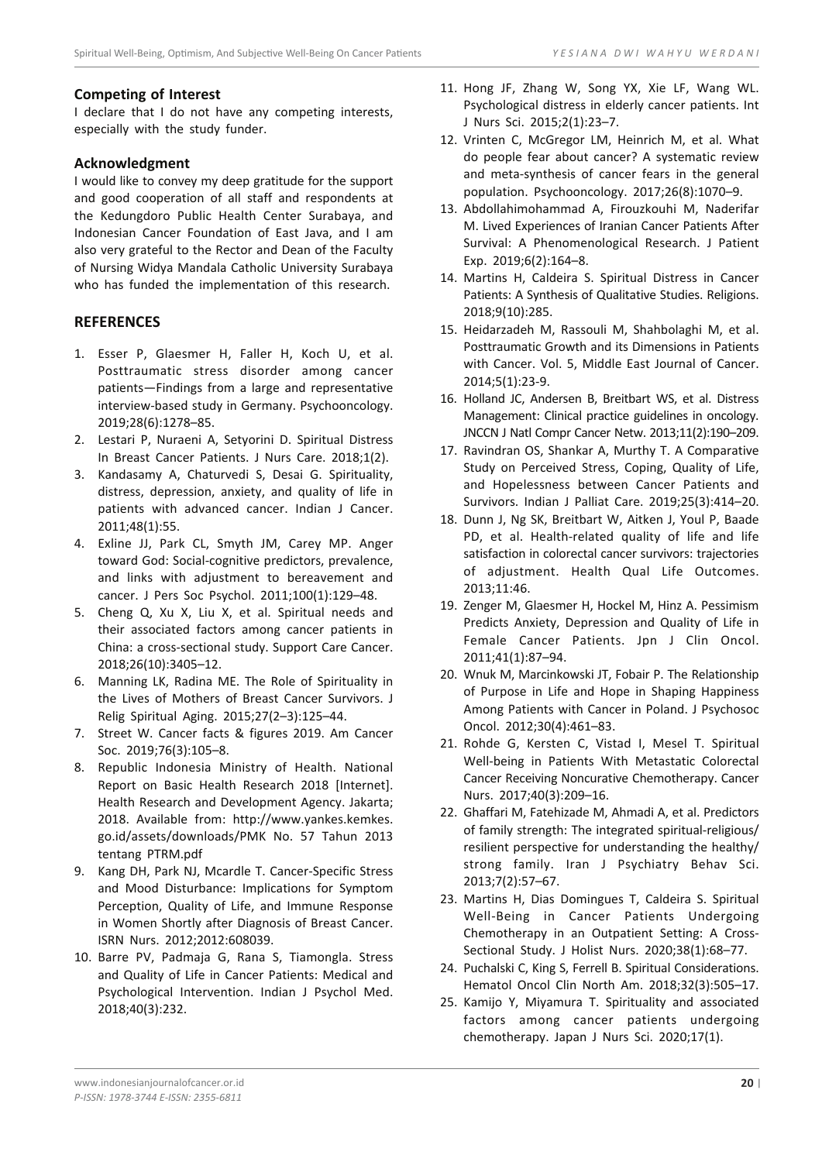## **Competing of Interest**

I declare that I do not have any competing interests, especially with the study funder.

# **Acknowledgment**

I would like to convey my deep gratitude for the support and good cooperation of all staff and respondents at the Kedungdoro Public Health Center Surabaya, and Indonesian Cancer Foundation of East Java, and I am also very grateful to the Rector and Dean of the Faculty of Nursing Widya Mandala Catholic University Surabaya who has funded the implementation of this research.

# **REFERENCES**

- 1. Esser P, Glaesmer H, Faller H, Koch U, et al. Posttraumatic stress disorder among cancer patients—Findings from a large and representative interview-based study in Germany. Psychooncology. 2019;28(6):1278–85.
- 2. Lestari P, Nuraeni A, Setyorini D. Spiritual Distress In Breast Cancer Patients. J Nurs Care. 2018;1(2).
- 3. Kandasamy A, Chaturvedi S, Desai G. Spirituality, distress, depression, anxiety, and quality of life in patients with advanced cancer. Indian J Cancer. 2011;48(1):55.
- 4. Exline JJ, Park CL, Smyth JM, Carey MP. Anger toward God: Social-cognitive predictors, prevalence, and links with adjustment to bereavement and cancer. J Pers Soc Psychol. 2011;100(1):129–48.
- 5. Cheng Q, Xu X, Liu X, et al. Spiritual needs and their associated factors among cancer patients in China: a cross-sectional study. Support Care Cancer. 2018;26(10):3405–12.
- 6. Manning LK, Radina ME. The Role of Spirituality in the Lives of Mothers of Breast Cancer Survivors. J Relig Spiritual Aging. 2015;27(2–3):125–44.
- 7. Street W. Cancer facts & figures 2019. Am Cancer Soc. 2019;76(3):105–8.
- 8. Republic Indonesia Ministry of Health. National Report on Basic Health Research 2018 [Internet]. Health Research and Development Agency. Jakarta; 2018. Available from: http://www.yankes.kemkes. go.id/assets/downloads/PMK No. 57 Tahun 2013 tentang PTRM.pdf
- 9. Kang DH, Park NJ, Mcardle T. Cancer-Specific Stress and Mood Disturbance: Implications for Symptom Perception, Quality of Life, and Immune Response in Women Shortly after Diagnosis of Breast Cancer. ISRN Nurs. 2012;2012:608039.
- 10. Barre PV, Padmaja G, Rana S, Tiamongla. Stress and Quality of Life in Cancer Patients: Medical and Psychological Intervention. Indian J Psychol Med. 2018;40(3):232.
- 11. Hong JF, Zhang W, Song YX, Xie LF, Wang WL. Psychological distress in elderly cancer patients. Int J Nurs Sci. 2015;2(1):23–7.
- 12. Vrinten C, McGregor LM, Heinrich M, et al. What do people fear about cancer? A systematic review and meta-synthesis of cancer fears in the general population. Psychooncology. 2017;26(8):1070–9.
- 13. Abdollahimohammad A, Firouzkouhi M, Naderifar M. Lived Experiences of Iranian Cancer Patients After Survival: A Phenomenological Research. J Patient Exp. 2019;6(2):164–8.
- 14. Martins H, Caldeira S. Spiritual Distress in Cancer Patients: A Synthesis of Qualitative Studies. Religions. 2018;9(10):285.
- 15. Heidarzadeh M, Rassouli M, Shahbolaghi M, et al. Posttraumatic Growth and its Dimensions in Patients with Cancer. Vol. 5, Middle East Journal of Cancer. 2014;5(1):23-9.
- 16. Holland JC, Andersen B, Breitbart WS, et al. Distress Management: Clinical practice guidelines in oncology. JNCCN J Natl Compr Cancer Netw. 2013;11(2):190–209.
- 17. Ravindran OS, Shankar A, Murthy T. A Comparative Study on Perceived Stress, Coping, Quality of Life, and Hopelessness between Cancer Patients and Survivors. Indian J Palliat Care. 2019;25(3):414–20.
- 18. Dunn J, Ng SK, Breitbart W, Aitken J, Youl P, Baade PD, et al. Health-related quality of life and life satisfaction in colorectal cancer survivors: trajectories of adjustment. Health Qual Life Outcomes. 2013;11:46.
- 19. Zenger M, Glaesmer H, Hockel M, Hinz A. Pessimism Predicts Anxiety, Depression and Quality of Life in Female Cancer Patients. Jpn J Clin Oncol. 2011;41(1):87–94.
- 20. Wnuk M, Marcinkowski JT, Fobair P. The Relationship of Purpose in Life and Hope in Shaping Happiness Among Patients with Cancer in Poland. J Psychosoc Oncol. 2012;30(4):461–83.
- 21. Rohde G, Kersten C, Vistad I, Mesel T. Spiritual Well-being in Patients With Metastatic Colorectal Cancer Receiving Noncurative Chemotherapy. Cancer Nurs. 2017;40(3):209–16.
- 22. Ghaffari M, Fatehizade M, Ahmadi A, et al. Predictors of family strength: The integrated spiritual-religious/ resilient perspective for understanding the healthy/ strong family. Iran J Psychiatry Behav Sci. 2013;7(2):57–67.
- 23. Martins H, Dias Domingues T, Caldeira S. Spiritual Well-Being in Cancer Patients Undergoing Chemotherapy in an Outpatient Setting: A Cross-Sectional Study. J Holist Nurs. 2020;38(1):68–77.
- 24. Puchalski C, King S, Ferrell B. Spiritual Considerations. Hematol Oncol Clin North Am. 2018;32(3):505–17.
- 25. Kamijo Y, Miyamura T. Spirituality and associated factors among cancer patients undergoing chemotherapy. Japan J Nurs Sci. 2020;17(1).